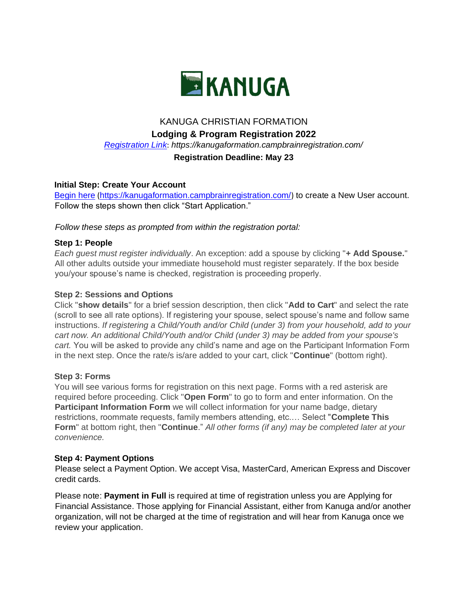

# KANUGA CHRISTIAN FORMATION

# **Lodging & Program Registration 2022**

*[Registration Link](https://kanugaformation.campbrainregistration.com/)*[:](https://kanugaformation.campbrainregistration.com/) *https://kanugaformation.campbrainregistration.com/* 

# **Registration Deadline: May 23**

## **Initial Step: Create Your Account**

[Begin here](http://kanugaformation.campbrainregistration.com/) [\(](https://kanugaformation.campbrainregistration.com/)<https://kanugaformation.campbrainregistration.com/>[\)](https://kanugaformation.campbrainregistration.com/) to create a New User account. Follow the steps shown then click "Start Application."

*Follow these steps as prompted from within the registration portal:*

#### **Step 1: People**

*Each guest must register individually*. An exception: add a spouse by clicking "**+ Add Spouse.**" All other adults outside your immediate household must register separately. If the box beside you/your spouse's name is checked, registration is proceeding properly.

#### **Step 2: Sessions and Options**

Click "**show details**" for a brief session description, then click "**Add to Cart**" and select the rate (scroll to see all rate options). If registering your spouse, select spouse's name and follow same instructions. *If registering a Child/Youth and/or Child (under 3) from your household, add to your cart now. An additional Child/Youth and/or Child (under 3) may be added from your spouse's cart.* You will be asked to provide any child's name and age on the Participant Information Form in the next step. Once the rate/s is/are added to your cart, click "**Continue**" (bottom right).

#### **Step 3: Forms**

You will see various forms for registration on this next page. Forms with a red asterisk are required before proceeding. Click "**Open Form**" to go to form and enter information. On the **Participant Information Form** we will collect information for your name badge, dietary restrictions, roommate requests, family members attending, etc.… Select "**Complete This Form**" at bottom right, then "**Continue**." *All other forms (if any) may be completed later at your convenience.*

#### **Step 4: Payment Options**

Please select a Payment Option. We accept Visa, MasterCard, American Express and Discover credit cards.

Please note: **Payment in Full** is required at time of registration unless you are Applying for Financial Assistance. Those applying for Financial Assistant, either from Kanuga and/or another organization, will not be charged at the time of registration and will hear from Kanuga once we review your application.